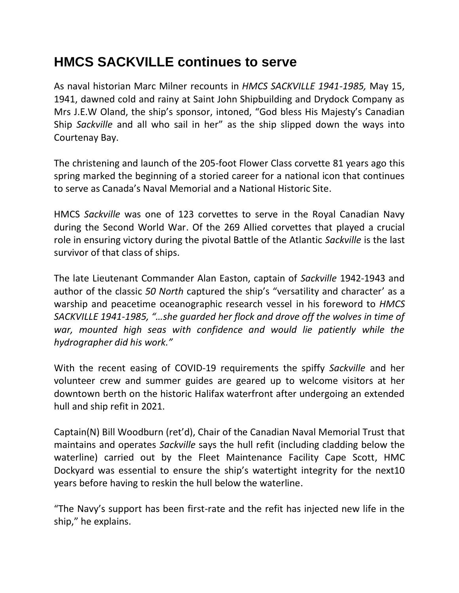## **HMCS SACKVILLE continues to serve**

As naval historian Marc Milner recounts in *HMCS SACKVILLE 1941-1985,* May 15, 1941, dawned cold and rainy at Saint John Shipbuilding and Drydock Company as Mrs J.E.W Oland, the ship's sponsor, intoned, "God bless His Majesty's Canadian Ship *Sackville* and all who sail in her" as the ship slipped down the ways into Courtenay Bay.

The christening and launch of the 205-foot Flower Class corvette 81 years ago this spring marked the beginning of a storied career for a national icon that continues to serve as Canada's Naval Memorial and a National Historic Site.

HMCS *Sackville* was one of 123 corvettes to serve in the Royal Canadian Navy during the Second World War. Of the 269 Allied corvettes that played a crucial role in ensuring victory during the pivotal Battle of the Atlantic *Sackville* is the last survivor of that class of ships.

The late Lieutenant Commander Alan Easton, captain of *Sackville* 1942-1943 and author of the classic *50 North* captured the ship's "versatility and character' as a warship and peacetime oceanographic research vessel in his foreword to *HMCS SACKVILLE 1941-1985, "…she guarded her flock and drove off the wolves in time of war, mounted high seas with confidence and would lie patiently while the hydrographer did his work."*

With the recent easing of COVID-19 requirements the spiffy *Sackville* and her volunteer crew and summer guides are geared up to welcome visitors at her downtown berth on the historic Halifax waterfront after undergoing an extended hull and ship refit in 2021.

Captain(N) Bill Woodburn (ret'd), Chair of the Canadian Naval Memorial Trust that maintains and operates *Sackville* says the hull refit (including cladding below the waterline) carried out by the Fleet Maintenance Facility Cape Scott, HMC Dockyard was essential to ensure the ship's watertight integrity for the next10 years before having to reskin the hull below the waterline.

"The Navy's support has been first-rate and the refit has injected new life in the ship," he explains.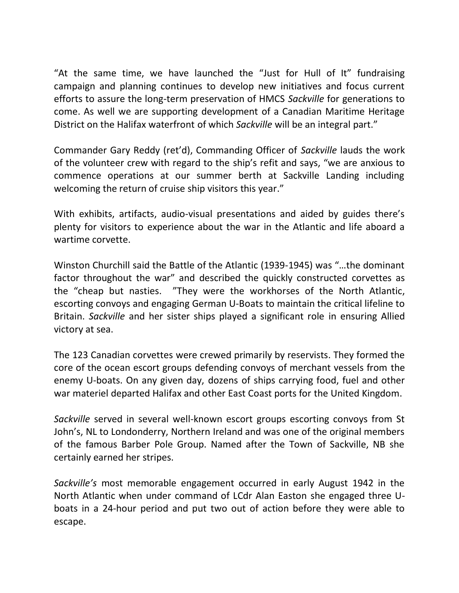"At the same time, we have launched the "Just for Hull of It" fundraising campaign and planning continues to develop new initiatives and focus current efforts to assure the long-term preservation of HMCS *Sackville* for generations to come. As well we are supporting development of a Canadian Maritime Heritage District on the Halifax waterfront of which *Sackville* will be an integral part."

Commander Gary Reddy (ret'd), Commanding Officer of *Sackville* lauds the work of the volunteer crew with regard to the ship's refit and says, "we are anxious to commence operations at our summer berth at Sackville Landing including welcoming the return of cruise ship visitors this year."

With exhibits, artifacts, audio-visual presentations and aided by guides there's plenty for visitors to experience about the war in the Atlantic and life aboard a wartime corvette.

Winston Churchill said the Battle of the Atlantic (1939-1945) was "…the dominant factor throughout the war" and described the quickly constructed corvettes as the "cheap but nasties. "They were the workhorses of the North Atlantic, escorting convoys and engaging German U-Boats to maintain the critical lifeline to Britain. *Sackville* and her sister ships played a significant role in ensuring Allied victory at sea.

The 123 Canadian corvettes were crewed primarily by reservists. They formed the core of the ocean escort groups defending convoys of merchant vessels from the enemy U-boats. On any given day, dozens of ships carrying food, fuel and other war materiel departed Halifax and other East Coast ports for the United Kingdom.

*Sackville* served in several well-known escort groups escorting convoys from St John's, NL to Londonderry, Northern Ireland and was one of the original members of the famous Barber Pole Group. Named after the Town of Sackville, NB she certainly earned her stripes.

*Sackville's* most memorable engagement occurred in early August 1942 in the North Atlantic when under command of LCdr Alan Easton she engaged three Uboats in a 24-hour period and put two out of action before they were able to escape.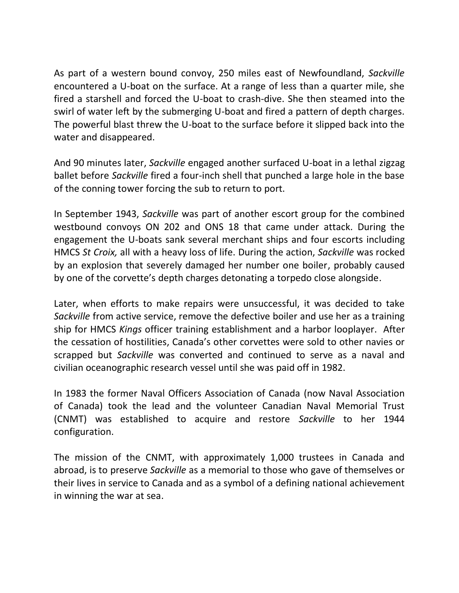As part of a western bound convoy, 250 miles east of Newfoundland, *Sackville* encountered a U-boat on the surface. At a range of less than a quarter mile, she fired a starshell and forced the U-boat to crash-dive. She then steamed into the swirl of water left by the submerging U-boat and fired a pattern of depth charges. The powerful blast threw the U-boat to the surface before it slipped back into the water and disappeared.

And 90 minutes later, *Sackville* engaged another surfaced U-boat in a lethal zigzag ballet before *Sackville* fired a four-inch shell that punched a large hole in the base of the conning tower forcing the sub to return to port.

In September 1943, *Sackville* was part of another escort group for the combined westbound convoys ON 202 and ONS 18 that came under attack. During the engagement the U-boats sank several merchant ships and four escorts including HMCS *St Croix,* all with a heavy loss of life. During the action, *Sackville* was rocked by an explosion that severely damaged her number one boiler, probably caused by one of the corvette's depth charges detonating a torpedo close alongside.

Later, when efforts to make repairs were unsuccessful, it was decided to take *Sackville* from active service, remove the defective boiler and use her as a training ship for HMCS *Kings* officer training establishment and a harbor looplayer.After the cessation of hostilities, Canada's other corvettes were sold to other navies or scrapped but *Sackville* was converted and continued to serve as a naval and civilian oceanographic research vessel until she was paid off in 1982.

In 1983 the former Naval Officers Association of Canada (now Naval Association of Canada) took the lead and the volunteer Canadian Naval Memorial Trust (CNMT) was established to acquire and restore *Sackville* to her 1944 configuration.

The mission of the CNMT, with approximately 1,000 trustees in Canada and abroad, is to preserve *Sackville* as a memorial to those who gave of themselves or their lives in service to Canada and as a symbol of a defining national achievement in winning the war at sea.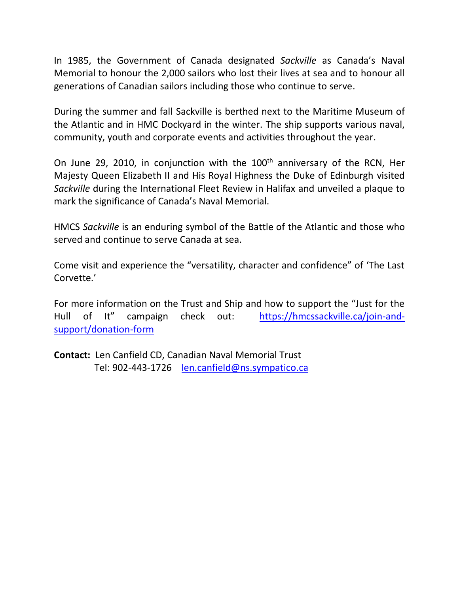In 1985, the Government of Canada designated *Sackville* as Canada's Naval Memorial to honour the 2,000 sailors who lost their lives at sea and to honour all generations of Canadian sailors including those who continue to serve.

During the summer and fall Sackville is berthed next to the Maritime Museum of the Atlantic and in HMC Dockyard in the winter. The ship supports various naval, community, youth and corporate events and activities throughout the year.

On June 29, 2010, in conjunction with the 100<sup>th</sup> anniversary of the RCN, Her Majesty Queen Elizabeth II and His Royal Highness the Duke of Edinburgh visited *Sackville* during the International Fleet Review in Halifax and unveiled a plaque to mark the significance of Canada's Naval Memorial.

HMCS *Sackville* is an enduring symbol of the Battle of the Atlantic and those who served and continue to serve Canada at sea.

Come visit and experience the "versatility, character and confidence" of 'The Last Corvette.'

For more information on the Trust and Ship and how to support the "Just for the Hull of It" campaign check out: [https://hmcssackville.ca/join-and](https://hmcssackville.ca/join-and-support/donation-form)[support/donation-form](https://hmcssackville.ca/join-and-support/donation-form)

**Contact:** Len Canfield CD, Canadian Naval Memorial Trust Tel: 902-443-1726 [len.canfield@ns.sympatico.ca](mailto:len.canfield@ns.sympatico.ca)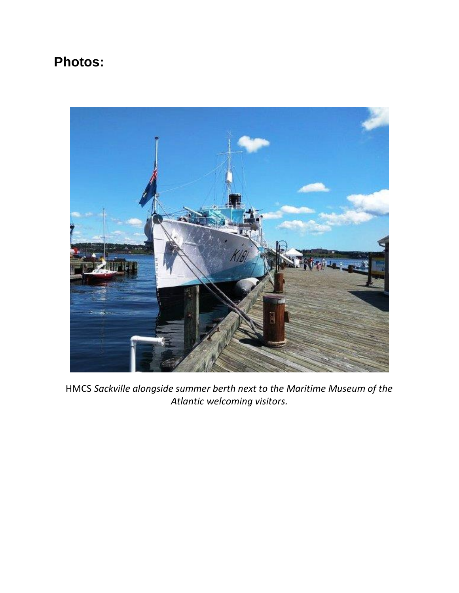## **Photos:**



HMCS *Sackville alongside summer berth next to the Maritime Museum of the Atlantic welcoming visitors.*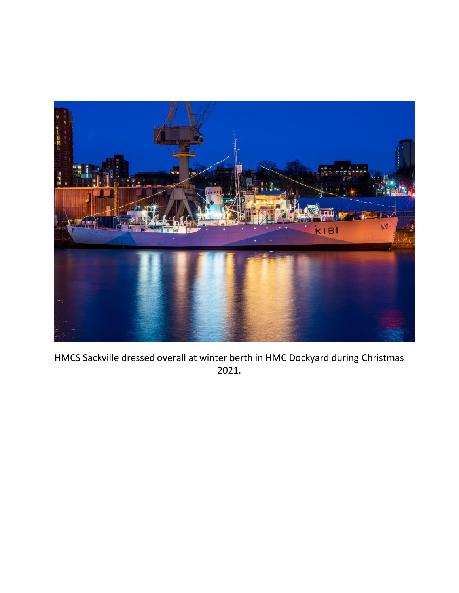

HMCS Sackville dressed overall at winter berth in HMC Dockyard during Christmas 2021.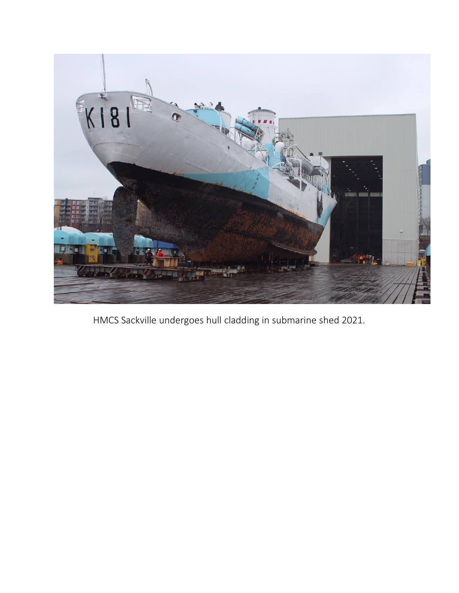

HMCS Sackville undergoes hull cladding in submarine shed 2021.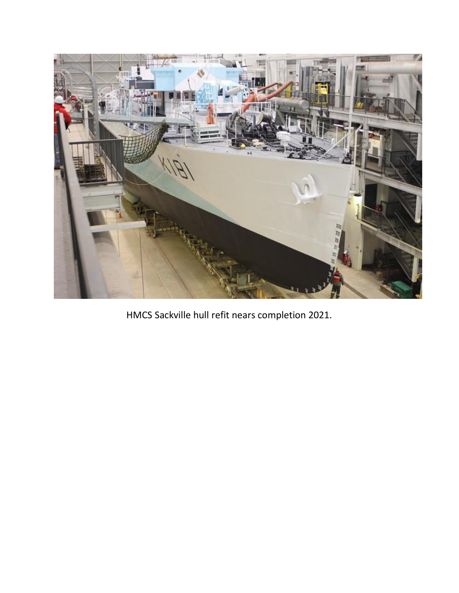

HMCS Sackville hull refit nears completion 2021.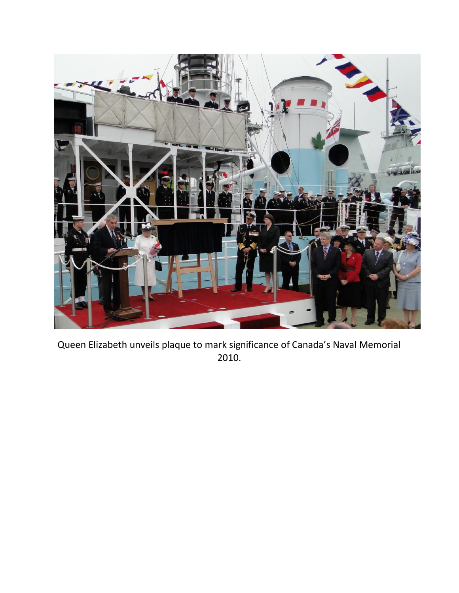

Queen Elizabeth unveils plaque to mark significance of Canada's Naval Memorial 2010.